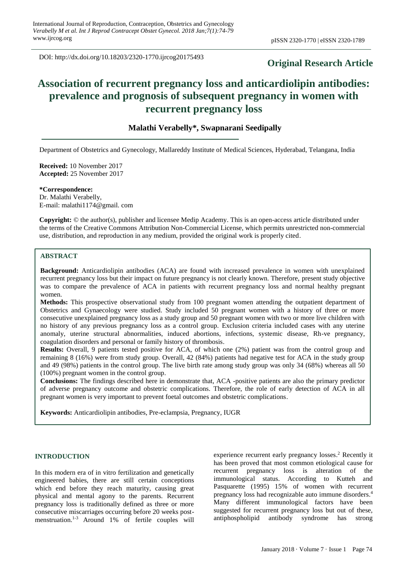DOI: http://dx.doi.org/10.18203/2320-1770.ijrcog20175493

# **Original Research Article**

# **Association of recurrent pregnancy loss and anticardiolipin antibodies: prevalence and prognosis of subsequent pregnancy in women with recurrent pregnancy loss**

# **Malathi Verabelly\*, Swapnarani Seedipally**

Department of Obstetrics and Gynecology, Mallareddy Institute of Medical Sciences, Hyderabad, Telangana, India

**Received:** 10 November 2017 **Accepted:** 25 November 2017

**\*Correspondence:** Dr. Malathi Verabelly, E-mail: malathi1174@gmail. com

**Copyright:** © the author(s), publisher and licensee Medip Academy. This is an open-access article distributed under the terms of the Creative Commons Attribution Non-Commercial License, which permits unrestricted non-commercial use, distribution, and reproduction in any medium, provided the original work is properly cited.

### **ABSTRACT**

**Background:** Anticardiolipin antibodies (ACA) are found with increased prevalence in women with unexplained recurrent pregnancy loss but their impact on future pregnancy is not clearly known. Therefore, present study objective was to compare the prevalence of ACA in patients with recurrent pregnancy loss and normal healthy pregnant women.

**Methods:** This prospective observational study from 100 pregnant women attending the outpatient department of Obstetrics and Gynaecology were studied. Study included 50 pregnant women with a history of three or more consecutive unexplained pregnancy loss as a study group and 50 pregnant women with two or more live children with no history of any previous pregnancy loss as a control group. Exclusion criteria included cases with any uterine anomaly, uterine structural abnormalities, induced abortions, infections, systemic disease, Rh-ve pregnancy, coagulation disorders and personal or family history of thrombosis.

**Results:** Overall, 9 patients tested positive for ACA, of which one (2%) patient was from the control group and remaining 8 (16%) were from study group. Overall, 42 (84%) patients had negative test for ACA in the study group and 49 (98%) patients in the control group. The live birth rate among study group was only 34 (68%) whereas all 50 (100%) pregnant women in the control group.

**Conclusions:** The findings described here in demonstrate that, ACA -positive patients are also the primary predictor of adverse pregnancy outcome and obstetric complications. Therefore, the role of early detection of ACA in all pregnant women is very important to prevent foetal outcomes and obstetric complications.

**Keywords:** Anticardiolipin antibodies, Pre-eclampsia, Pregnancy, IUGR

## **INTRODUCTION**

In this modern era of in vitro fertilization and genetically engineered babies, there are still certain conceptions which end before they reach maturity, causing great physical and mental agony to the parents. Recurrent pregnancy loss is traditionally defined as three or more consecutive miscarriages occurring before 20 weeks postmenstruation. 1-3 Around 1% of fertile couples will

experience recurrent early pregnancy losses. <sup>2</sup> Recently it has been proved that most common etiological cause for recurrent pregnancy loss is alteration of the immunological status. According to Kutteh and Pasquarette (1995) 15% of women with recurrent pregnancy loss had recognizable auto immune disorders. 4 Many different immunological factors have been suggested for recurrent pregnancy loss but out of these, antiphospholipid antibody syndrome has strong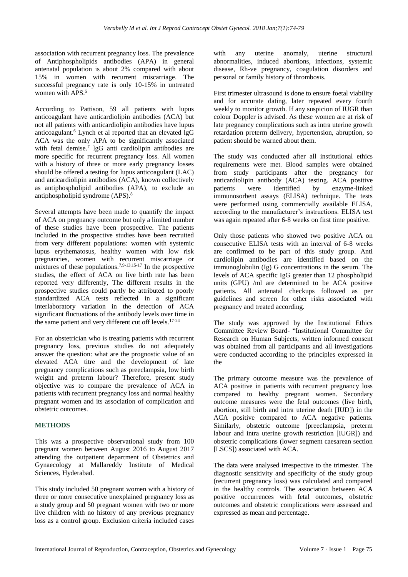association with recurrent pregnancy loss. The prevalence of Antiphospholipids antibodies (APA) in general antenatal population is about 2% compared with about 15% in women with recurrent miscarriage. The successful pregnancy rate is only 10-15% in untreated women with APS. 5

According to Pattison, 59 all patients with lupus anticoagulant have anticardiolipin antibodies (ACA) but not all patients with anticardiolipin antibodies have lupus anticoagulant.<sup>6</sup> Lynch et al reported that an elevated lgG ACA was the only APA to be significantly associated with fetal demise.<sup>7</sup> lgG anti cardiolipin antibodies are more specific for recurrent pregnancy loss. All women with a history of three or more early pregnancy losses should be offered a testing for lupus anticoagulant (LAC) and anticardiolipin antibodies (ACA), known collectively as antiphospholipid antibodies (APA), to exclude an antiphospholipid syndrome (APS). 8

Several attempts have been made to quantify the impact of ACA on pregnancy outcome but only a limited number of these studies have been prospective. The patients included in the prospective studies have been recruited from very different populations: women with systemic lupus erythematosus, healthy women with low risk pregnancies, women with recurrent miscarriage or mixtures of these populations.<sup>7,9-13,15-17</sup> In the prospective studies, the effect of ACA on live birth rate has been reported very differently, The different results in the prospective studies could partly be attributed to poorly standardized ACA tests reflected in a significant interlaboratory variation in the detection of ACA significant fluctuations of the antibody levels over time in the same patient and very different cut off levels.<sup>17-24</sup>

For an obstetrician who is treating patients with recurrent pregnancy loss, previous studies do not adequately answer the question: what are the prognostic value of an elevated ACA titre and the development of late pregnancy complications such as preeclampsia, low birth weight and preterm labour? Therefore, present study objective was to compare the prevalence of ACA in patients with recurrent pregnancy loss and normal healthy pregnant women and its association of complication and obstetric outcomes.

#### **METHODS**

This was a prospective observational study from 100 pregnant women between August 2016 to August 2017 attending the outpatient department of Obstetrics and Gynaecology at Mallareddy Institute of Medical Sciences, Hyderabad.

This study included 50 pregnant women with a history of three or more consecutive unexplained pregnancy loss as a study group and 50 pregnant women with two or more live children with no history of any previous pregnancy loss as a control group. Exclusion criteria included cases with any uterine anomaly, uterine structural abnormalities, induced abortions, infections, systemic disease, Rh-ve pregnancy, coagulation disorders and personal or family history of thrombosis.

First trimester ultrasound is done to ensure foetal viability and for accurate dating, later repeated every fourth weekly to monitor growth. If any suspicion of IUGR than colour Doppler is advised. As these women are at risk of late pregnancy complications such as intra uterine growth retardation preterm delivery, hypertension, abruption, so patient should be warned about them.

The study was conducted after all institutional ethics requirements were met. Blood samples were obtained from study participants after the pregnancy for anticardiolipin antibody (ACA) testing. ACA positive patients were identified by enzyme-linked immunosorbent assays (ELISA) technique. The tests were performed using commercially available ELISA, according to the manufacturer's instructions. ELISA test was again repeated after 6-8 weeks on first time positive.

Only those patients who showed two positive ACA on consecutive ELISA tests with an interval of 6-8 weeks are confirmed to be part of this study group. Anti cardiolipin antibodies are identified based on the immunoglobulin (Ig) G concentrations in the serum. The levels of ACA specific IgG greater than 12 phospholipid units (GPU) /ml are determined to be ACA positive patients. All antenatal checkups followed as per guidelines and screen for other risks associated with pregnancy and treated according.

The study was approved by the Institutional Ethics Committee Review Board- "Institutional Committee for Research on Human Subjects, written informed consent was obtained from all participants and all investigations were conducted according to the principles expressed in the

The primary outcome measure was the prevalence of ACA positive in patients with recurrent pregnancy loss compared to healthy pregnant women. Secondary outcome measures were the fetal outcomes (live birth, abortion, still birth and intra uterine death [IUD]) in the ACA positive compared to ACA negative patients. Similarly, obstetric outcome (preeclampsia, preterm labour and intra uterine growth restriction [IUGR]) and obstetric complications (lower segment caesarean section [LSCS]) associated with ACA.

The data were analysed irrespective to the trimester. The diagnostic sensitivity and specificity of the study group (recurrent pregnancy loss) was calculated and compared in the healthy controls. The association between ACA positive occurrences with fetal outcomes, obstetric outcomes and obstetric complications were assessed and expressed as mean and percentage.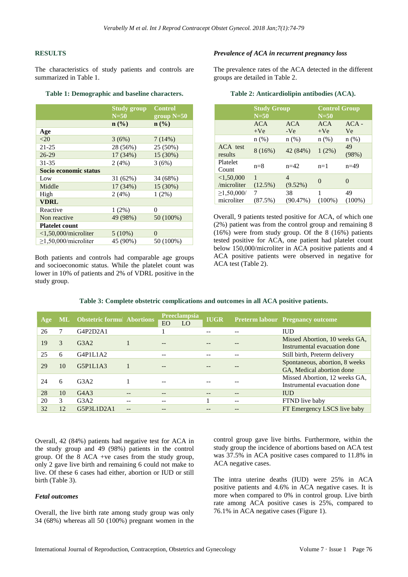#### **RESULTS**

The characteristics of study patients and controls are summarized in Table 1.

#### **Table 1: Demographic and baseline characters.**

|                            | <b>Study group</b><br>$N=50$ | <b>Control</b><br>group $N=50$ |  |  |  |  |  |
|----------------------------|------------------------------|--------------------------------|--|--|--|--|--|
|                            | $\mathbf{n}(\%)$             | n (% )                         |  |  |  |  |  |
| Age                        |                              |                                |  |  |  |  |  |
| <20                        | 3(6%)                        | 7(14%)                         |  |  |  |  |  |
| $21 - 25$                  | 28 (56%)                     | 25 (50%)                       |  |  |  |  |  |
| $26 - 29$                  | 17 (34%)                     | 15 (30%)                       |  |  |  |  |  |
| 31-35                      | 2(4%)                        | 3(6%)                          |  |  |  |  |  |
| Socio economic status      |                              |                                |  |  |  |  |  |
| Low                        | 31 (62%)                     | 34 (68%)                       |  |  |  |  |  |
| Middle                     | 17(34%)                      | 15 (30%)                       |  |  |  |  |  |
| High                       | 2(4%)                        | 1(2%)                          |  |  |  |  |  |
| <b>VDRL</b>                |                              |                                |  |  |  |  |  |
| Reactive                   | $1(2\%)$                     | 0                              |  |  |  |  |  |
| Non reactive               | 49 (98%)                     | 50 (100%)                      |  |  |  |  |  |
| <b>Platelet count</b>      |                              |                                |  |  |  |  |  |
| $<$ 1,50,000/microliter    | $5(10\%)$                    | $\theta$                       |  |  |  |  |  |
| $\geq$ 1,50,000/microliter | 45 (90%)                     | 50 (100%)                      |  |  |  |  |  |

Both patients and controls had comparable age groups and socioeconomic status. While the platelet count was lower in 10% of patients and 2% of VDRL positive in the study group.

## *Prevalence of ACA in recurrent pregnancy loss*

The prevalence rates of the ACA detected in the different groups are detailed in Table 2.

#### **Table 2: Anticardiolipin antibodies (ACA).**

|                                | <b>Study Group</b><br>$N=50$ |                     | <b>Control Group</b><br>$N=50$ |                 |  |
|--------------------------------|------------------------------|---------------------|--------------------------------|-----------------|--|
|                                | <b>ACA</b><br>$+Ve$          | <b>ACA</b><br>$-Ve$ | <b>ACA</b><br>$+Ve$            | $ACA -$<br>Ve   |  |
|                                | n(%)                         | $n$ (%)             | n(%)                           | n(%)            |  |
| ACA test<br>results            | 8(16%)                       | 42 (84%)            | 1(2%)                          | 49<br>(98%)     |  |
| Platelet<br>Count              | $n=8$                        | $n=42$              | $n=1$                          | $n=49$          |  |
| < 1,50,000<br>/microliter      | $\mathbf{1}$<br>$(12.5\%)$   | 4<br>$(9.52\%)$     | $\Omega$                       | $\Omega$        |  |
| $\geq 1,50,000/$<br>microliter | 7<br>(87.5%)                 | 38<br>(90.47%)      | 1<br>$(100\%)$                 | 49<br>$(100\%)$ |  |

Overall, 9 patients tested positive for ACA, of which one (2%) patient was from the control group and remaining 8 (16%) were from study group. Of the 8 (16%) patients tested positive for ACA, one patient had platelet count below 150,000/microliter in ACA positive patients and 4 ACA positive patients were observed in negative for ACA test (Table 2).

**Table 3: Complete obstetric complications and outcomes in all ACA positive patients.**

| Age | <b>ML</b> | <b>Obstetric formul Abortions</b> |       | EO | <b>Preeclampsia</b><br>LO | <b>IUGR</b> |      | <b>Preterm labour Pregnancy outcome</b>                       |
|-----|-----------|-----------------------------------|-------|----|---------------------------|-------------|------|---------------------------------------------------------------|
| 26  |           | G4P2D2A1                          |       |    |                           | --          |      | <b>IUD</b>                                                    |
| 19  | 3         | G3A2                              |       | -- |                           |             |      | Missed Abortion, 10 weeks GA,<br>Instrumental evacuation done |
| 25  | 6         | G4P1L1A2                          |       | -- |                           |             |      | Still birth, Preterm delivery                                 |
| 29  | 10        | G5P1L1A3                          |       | -- |                           |             |      | Spontaneous, abortion, 8 weeks<br>GA, Medical abortion done   |
| 24  | 6         | G3A2                              |       | -- |                           |             |      | Missed Abortion, 12 weeks GA,<br>Instrumental evacuation done |
| 28  | 10        | G4A3                              | $- -$ | -- |                           |             | --   | <b>IUD</b>                                                    |
| 20  | 3         | G3A2                              | --    | -- |                           |             | $ -$ | FTND live baby                                                |
| 32  | 12        | G5P3L1D2A1                        | --    |    |                           |             |      | FT Emergency LSCS live baby                                   |

Overall, 42 (84%) patients had negative test for ACA in the study group and 49 (98%) patients in the control group. Of the 8 ACA +ve cases from the study group, only 2 gave live birth and remaining 6 could not make to live. Of these 6 cases had either, abortion or IUD or still birth (Table 3).

#### *Fetal outcomes*

Overall, the live birth rate among study group was only 34 (68%) whereas all 50 (100%) pregnant women in the

control group gave live births. Furthermore, within the study group the incidence of abortions based on ACA test was 37.5% in ACA positive cases compared to 11.8% in ACA negative cases.

The intra uterine deaths (IUD) were 25% in ACA positive patients and 4.6% in ACA negative cases. It is more when compared to 0% in control group. Live birth rate among ACA positive cases is 25%, compared to 76.1% in ACA negative cases (Figure 1).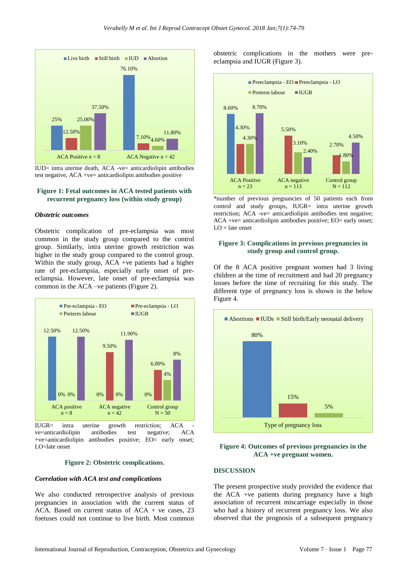

IUD= intra uterine death, ACA -ve= anticardiolipin antibodies test negative, ACA +ve= anticardiolipin antibodies positive

# **Figure 1: Fetal outcomes in ACA tested patients with recurrent pregnancy loss (within study group)**

#### *Obstetric outcomes*

Obstetric complication of pre-eclampsia was most common in the study group compared to the control group. Similarly, intra uterine growth restriction was higher in the study group compared to the control group. Within the study group, ACA +ve patients had a higher rate of pre-eclampsia, especially early onset of preeclampsia. However, late onset of pre-eclampsia was common in the ACA –ve patients (Figure 2).



IUGR= intra uterine growth restriction; ACA ve=anticardiolipin antibodies test negative; ACA +ve=anticardiolipin antibodies positive; EO= early onset; LO=late onset

#### **Figure 2: Obstetric complications.**

#### *Correlation with ACA test and complications*

We also conducted retrospective analysis of previous pregnancies in association with the current status of ACA. Based on current status of  $ACA + ve$  cases, 23 foetuses could not continue to live birth. Most common

obstetric complications in the mothers were preeclampsia and IUGR (Figure 3).



\*number of previous pregnancies of 50 patients each from control and study groups, IUGR= intra uterine growth restriction; ACA -ve= anticardiolipin antibodies test negative; ACA +ve= anticardiolipin antibodies positive; EO= early onset;  $LO =$  late onset

#### **Figure 3: Complications in previous pregnancies in study group and control group.**

Of the 8 ACA positive pregnant women had 3 living children at the time of recruitment and had 20 pregnancy losses before the time of recruiting for this study. The different type of pregnancy loss is shown in the below Figure 4.



**Figure 4: Outcomes of previous pregnancies in the ACA +ve pregnant women.**

#### **DISCUSSION**

The present prospective study provided the evidence that the ACA +ve patients during pregnancy have a high association of recurrent miscarriage especially in those who had a history of recurrent pregnancy loss. We also observed that the prognosis of a subsequent pregnancy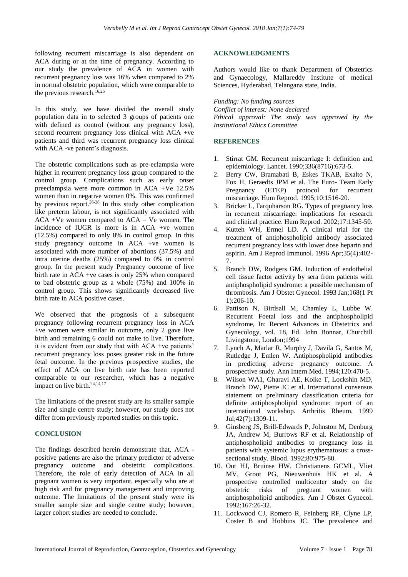following recurrent miscarriage is also dependent on ACA during or at the time of pregnancy. According to our study the prevalence of ACA in women with recurrent pregnancy loss was 16% when compared to 2% in normal obstetric population, which were comparable to the previous research. 16,25

In this study, we have divided the overall study population data in to selected 3 groups of patients one with defined as control (without any pregnancy loss), second recurrent pregnancy loss clinical with ACA +ve patients and third was recurrent pregnancy loss clinical with ACA -ve patient's diagnosis.

The obstetric complications such as pre-eclampsia were higher in recurrent pregnancy loss group compared to the control group. Complications such as early onset preeclampsia were more common in ACA +Ve 12.5% women than in negative women 0%. This was confirmed by previous report.<sup>26-28</sup> In this study other complication like preterm labour, is not significantly associated with ACA +Ve women compared to ACA – Ve women. The incidence of IUGR is more is in ACA +ve women (12.5%) compared to only 8% in control group. In this study pregnancy outcome in ACA +ve women is associated with more number of abortions (37.5%) and intra uterine deaths (25%) compared to 0% in control group. In the present study Pregnancy outcome of live birth rate in ACA +ve cases is only 25% when compared to bad obstetric group as a whole (75%) and 100% in control group. This shows significantly decreased live birth rate in ACA positive cases.

We observed that the prognosis of a subsequent pregnancy following recurrent pregnancy loss in ACA +ve women were similar in outcome, only 2 gave live birth and remaining 6 could not make to live. Therefore, it is evident from our study that with ACA +ve patients' recurrent pregnancy loss poses greater risk in the future fetal outcome. In the previous prospective studies, the effect of ACA on live birth rate has been reported comparable to our researcher, which has a negative impact on live birth.<sup>24,14,17</sup>

The limitations of the present study are its smaller sample size and single centre study; however, our study does not differ from previously reported studies on this topic.

# **CONCLUSION**

The findings described herein demonstrate that, ACA positive patients are also the primary predictor of adverse pregnancy outcome and obstetric complications. Therefore, the role of early detection of ACA in all pregnant women is very important, especially who are at high risk and for pregnancy management and improving outcome. The limitations of the present study were its smaller sample size and single centre study; however, larger cohort studies are needed to conclude.

#### **ACKNOWLEDGMENTS**

Authors would like to thank Department of Obstetrics and Gynaecology, Mallareddy Institute of medical Sciences, Hyderabad, Telangana state, India.

*Funding: No funding sources*

*Conflict of interest: None declared Ethical approval: The study was approved by the Institutional Ethics Committee*

### **REFERENCES**

- 1. Stirrat GM. Recurrent miscarriage I: definition and epidemiology. Lancet. 1990;336(8716):673-5.
- 2. Berry CW, Bramabati B, Eskes TKAB, Exalto N, Fox H, Geraedts JPM et al. The Euro- Team Early Pregnancy (ETEP) protocol for recurrent miscarriage. Hum Reprod. 1995;10:1516-20.
- 3. Bricker L, Farquharson RG. Types of pregnancy loss in recurrent miscarriage: implications for research and clinical practice. Hum Reprod. 2002;17:1345-50.
- 4. Kutteh WH, Ermel LD. A clinical trial for the treatment of antiphospholipid antibody associated recurrent pregnancy loss with lower dose heparin and aspirin. Am J Reprod Immunol. 1996 Apr;35(4):402- 7.
- 5. Branch DW, Rodgers GM. Induction of endothelial cell tissue factor activity by sera from patients with antiphospholipid syndrome: a possible mechanism of thrombosis. Am J Obstet Gynecol. 1993 Jan;168(1 Pt 1):206-10.
- 6. Pattison N, Birdsall M, Chamley L, Lubbe W. Recurrent Foetal loss and the antiphospholipid syndrome, In: Recent Advances in Obstetrics and Gynecology, vol. 18, Ed. John Bonnar, Churchill Livingstone, London;1994
- 7. Lynch A, Marlar R, Murphy J, Davila G, Santos M, Rutledge J, Emlen W. Antiphospholipid antibodies in predicting adverse pregnancy outcome. A prospective study. Ann Intern Med. 1994;120:470-5.
- 8. Wilson WA1, Gharavi AE, Koike T, Lockshin MD, Branch DW, Piette JC et al. International consensus statement on preliminary classification criteria for definite antiphospholipid syndrome: report of an international workshop. Arthritis Rheum. 1999 Jul;42(7):1309-11.
- 9. Ginsberg JS, Brill-Edwards P, Johnston M, Denburg JA, Andrew M, Burrows RF et al. Relationship of antiphospholipid antibodies to pregnancy loss in patients with systemic lupus erythematosus: a crosssectional study. Blood. 1992;80:975-80.
- 10. Out HJ, Bruinse HW, Christianens GCML, Vliet MV, Groot PG, Nieuwenhuis HK et al. A prospective controlled multicenter study on the obstetric risks of pregnant women with antiphospholipid antibodies. Am J Obstet Gynecol. 1992;167:26-32.
- 11. Lockwood CJ, Romero R, Feinberg RF, Clyne LP, Coster B and Hobbins JC. The prevalence and